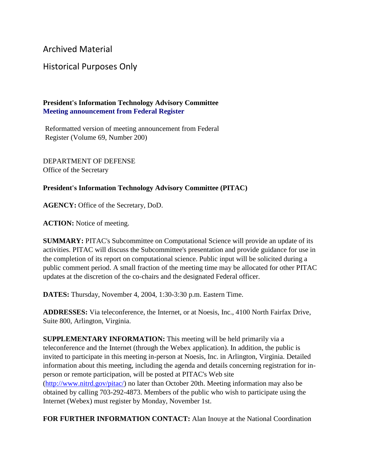Archived Material

## Historical Purposes Only

## **President's Information Technology Advisory Committee Meeting announcement from Federal Register**

Reformatted version of meeting announcement from Federal Register (Volume 69, Number 200)

DEPARTMENT OF DEFENSE Office of the Secretary

## **President's Information Technology Advisory Committee (PITAC)**

**AGENCY:** Office of the Secretary, DoD.

**ACTION:** Notice of meeting.

**SUMMARY:** PITAC's Subcommittee on Computational Science will provide an update of its activities. PITAC will discuss the Subcommittee's presentation and provide guidance for use in the completion of its report on computational science. Public input will be solicited during a public comment period. A small fraction of the meeting time may be allocated for other PITAC updates at the discretion of the co-chairs and the designated Federal officer.

**DATES:** Thursday, November 4, 2004, 1:30-3:30 p.m. Eastern Time.

**ADDRESSES:** Via teleconference, the Internet, or at Noesis, Inc., 4100 North Fairfax Drive, Suite 800, Arlington, Virginia.

**SUPPLEMENTARY INFORMATION:** This meeting will be held primarily via a teleconference and the Internet (through the Webex application). In addition, the public is invited to participate in this meeting in-person at Noesis, Inc. in Arlington, Virginia. Detailed information about this meeting, including the agenda and details concerning registration for inperson or remote participation, will be posted at PITAC's Web site [\(http://www.nitrd.gov/pitac/\)](https://www.nitrd.gov/pitac/index.html) no later than October 20th. Meeting information may also be obtained by calling 703-292-4873. Members of the public who wish to participate using the Internet (Webex) must register by Monday, November 1st.

**FOR FURTHER INFORMATION CONTACT:** Alan Inouye at the National Coordination